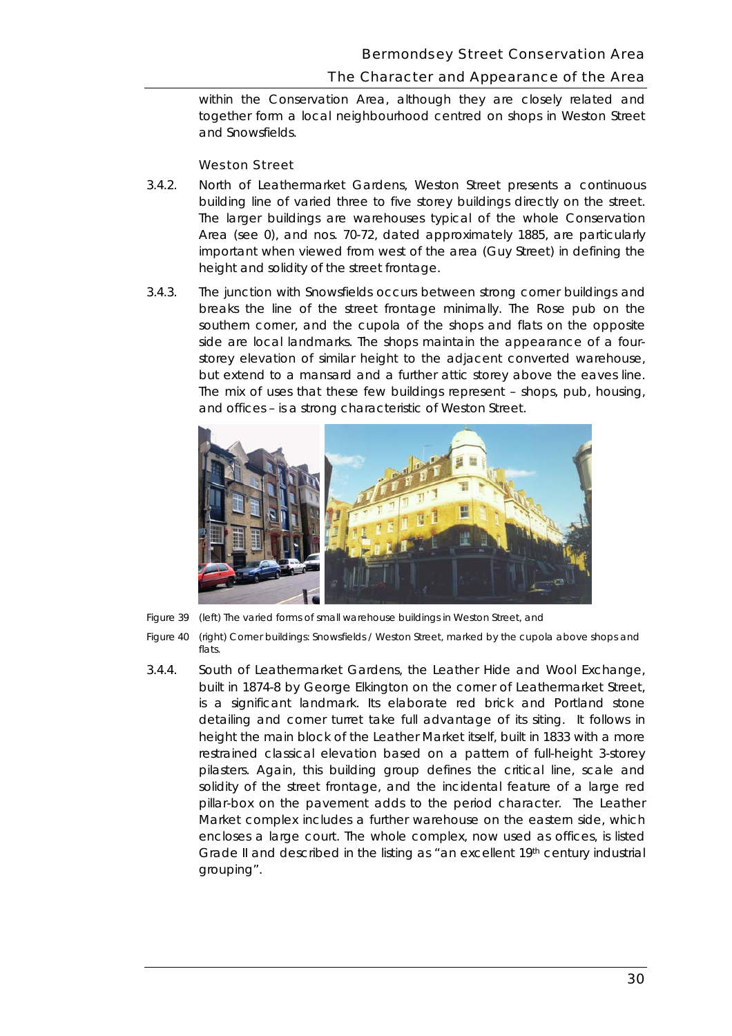# The Character and Appearance of the Area

 within the Conservation Area, although they are closely related and together form a local neighbourhood centred on shops in Weston Street and Snowsfields.

## Weston Street

- building line of varied three to five storey buildings directly on the street. important when viewed from west of the area (Guy Street) in defining the 3.4.2. North of Leathermarket Gardens, Weston Street presents a continuous The larger buildings are warehouses typical of th*e* whole Conservation Area (see 0), and nos. 70-72, dated approximately 1885, are particularly height and solidity of the street frontage.
- but extend to a mansard and a further attic storey above the eaves line. 3.4.3. The junction with Snowsfields occurs between strong corner buildings and breaks the line of the street frontage minimally. The Rose pub on the southern corner, and the cupola of the shops and flats on the opposite side are local landmarks. The shops maintain the appearance of a fourstorey elevation of similar height to the adjacent converted warehouse, The mix of uses that these few buildings represent – shops, pub, housing, and offices – is a strong characteristic of Weston Street.



**Figure 40** *Figure 39 (left) The varied forms of small warehouse buildings in Weston Street, and Figure 40 (right) Corner buildings: Snowsfields / Weston Street, marked by the cupola above shops and flats.* 

 detailing and corner turret take full advantage of its siting. It follows in height the main block of the Leather Market itself, built in 1833 with a more restrained classical elevation based on a pattern of full-height 3-storey encloses a large court. The whole complex, now used as offices, is listed Grade II and described in the listing as "an excellent 19<sup>th</sup> century industrial grouping". 3.4.4. South of Leathermarket Gardens, the Leather Hide and Wool Exchange, built in 1874-8 by George Elkington on the corner of Leathermarket Street, is a significant landmark. Its elaborate red brick and Portland stone pilasters. Again, this building group defines the critical line, scale and solidity of the street frontage, and the incidental feature of a large red pillar-box on the pavement adds to the period character. The Leather Market complex includes a further warehouse on the eastern side, which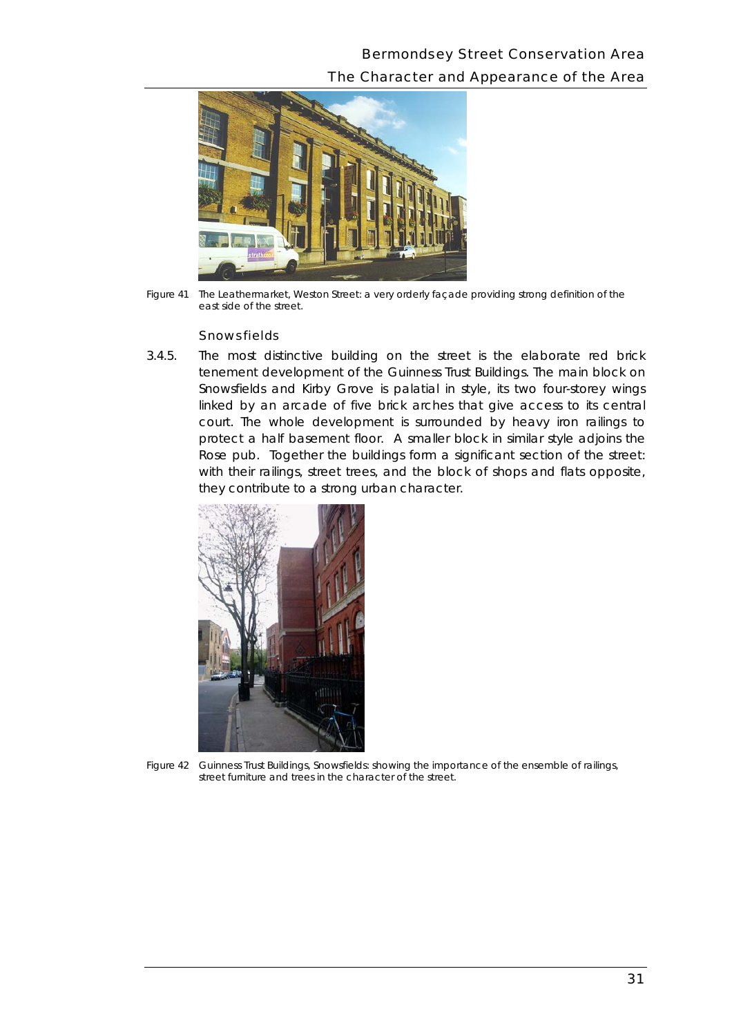# Bermondsey Street Conservation Area The Character and Appearance of the Area



*Figure 41 The Leathermarket, Weston Street: a very orderly façade providing strong definition of the east side of the street.* 

### **Snowsfields**

3.4.5. The most distinctive building on the street is the elaborate red brick tenement development of the Guinness Trust Buildings. The main block on Snowsfields and Kirby Grove is palatial in style, its two four-storey wings linked by an arcade of five brick arches that give access to its central court. The whole development is surrounded by heavy iron railings to protect a half basement floor. A smaller block in similar style adjoins the Rose pub. Together the buildings form a significant section of the street: with their railings, street trees, and the block of shops and flats opposite, they contribute to a strong urban character.



*Figure 42 Guinness Trust Buildings, Snowsfields: showing the importance of the ensemble of railings, street furniture and trees in the character of the street.*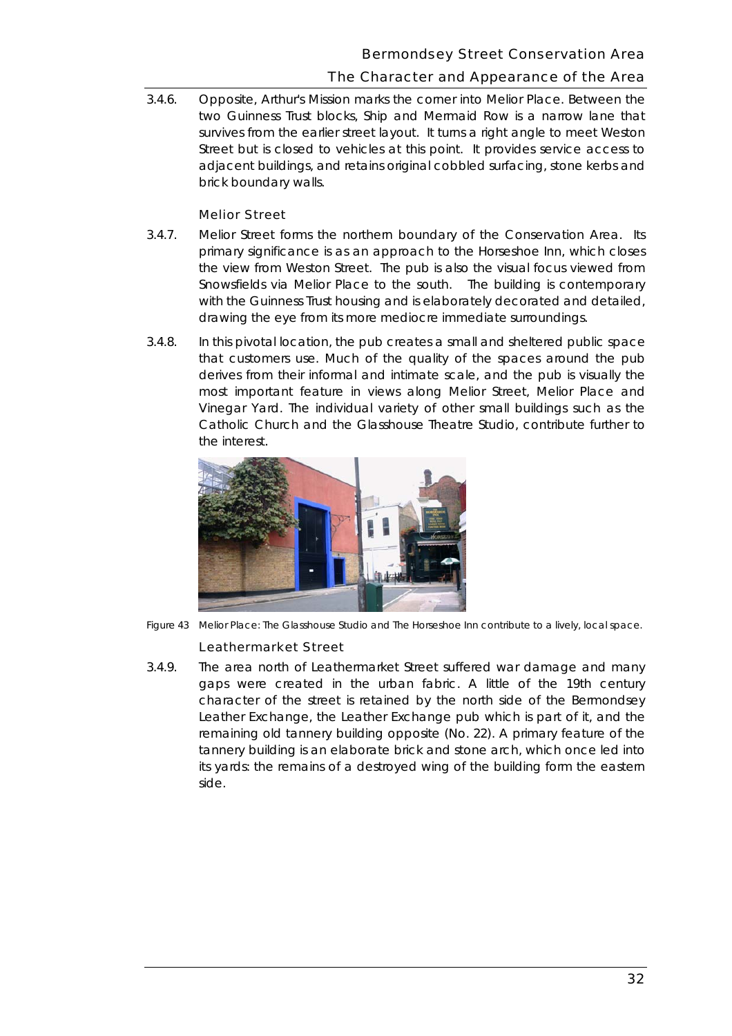# The Character and Appearance of the Area

 survives from the earlier street layout. It turns a right angle to meet Weston Street but is closed to vehicles at this point. It provides service access to 3.4.6. Opposite, Arthur's Mission marks the corner into Melior Place. Between the two Guinness Trust blocks, Ship and Mermaid Row is a narrow lane that adjacent buildings, and retains original cobbled surfacing, stone kerbs and brick boundary walls.

### Melior Street

- 3.4.7. Melior Street forms the northern boundary of the Conservation Area. Its drawing the eve from its more mediocre immediate surroundings. primary significance is as an approach to the Horseshoe Inn, which closes the view from Weston Street. The pub is also the visual focus viewed from Snowsfields via Melior Place to the south. The building is contemporary with the Guinness Trust housing and is elaborately decorated and detailed,
- derives from their informal and intimate scale, and the pub is visually the Vinegar Yard. The individual variety of other small buildings such as the 3.4.8. In this pivotal location, the pub creates a small and sheltered public space that customers use. Much of the quality of the spaces around the pub most important feature in views along Melior Street, Melior Place and Catholic Church and the Glasshouse Theatre Studio, contribute further to the interest.



*Figure 43 Melior Place: The Glasshouse Studio and The Horseshoe Inn contribute to a lively, local space.* 

### Leathermarket Street

 3.4.9. The area north of Leathermarket Street suffered war damage and many character of the street is retained by the north side of the Bermondsey side. gaps were created in the urban fabric. A little of the 19th century Leather Exchange, the Leather Exchange pub which is part of it, and the remaining old tannery building opposite (No. 22). A primary feature of the tannery building is an elaborate brick and stone arch, which once led into its yards: the remains of a destroyed wing of the building form the eastern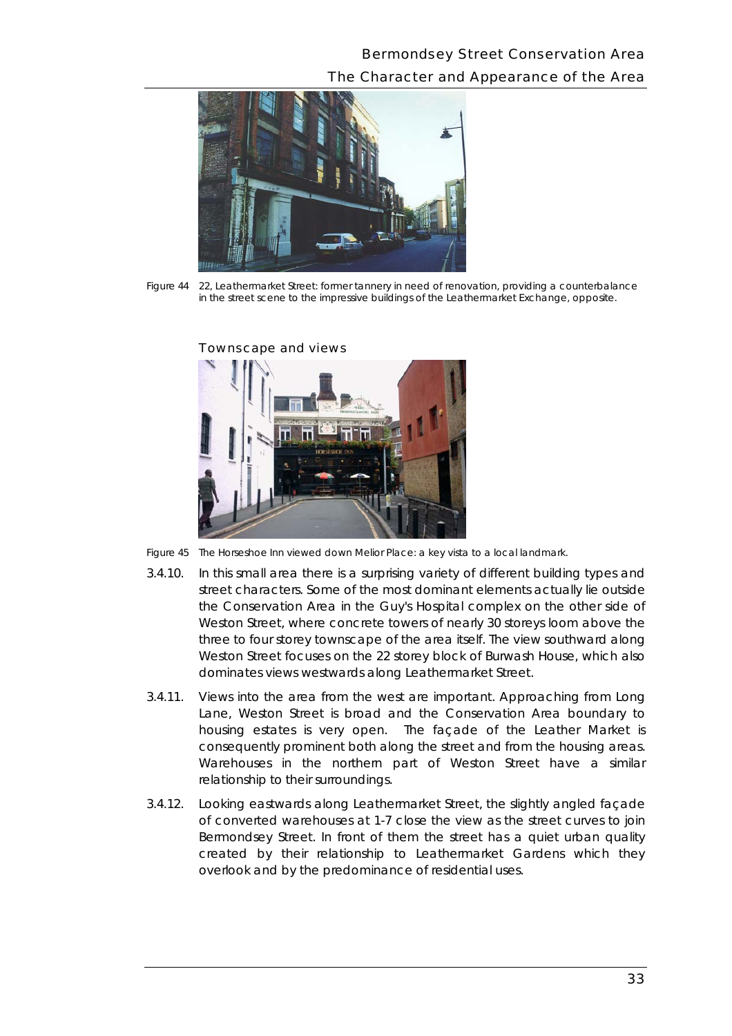# Bermondsey Street Conservation Area The Character and Appearance of the Area



*Figure 44 22, Leathermarket Street: former tannery in need of renovation, providing a counterbalance in the street scene to the impressive buildings of the Leathermarket Exchange, opposite.* 



#### Townscape and views

*Figure 45 The Horseshoe Inn viewed down Melior Place: a key vista to a local landmark.* 

- 3.4.10. In this small area there is a surprising variety of different building types and street characters. Some of the most dominant elements actually lie outside the Conservation Area in the Guy's Hospital complex on the other side of Weston Street, where concrete towers of nearly 30 storeys loom above the three to four storey townscape of the area itself. The view southward along Weston Street focuses on the 22 storey block of Burwash House, which also dominates views westwards along Leathermarket Street.
- 3.4.11. Views into the area from the west are important. Approaching from Long Lane, Weston Street is broad and the Conservation Area boundary to housing estates is very open. The façade of the Leather Market is consequently prominent both along the street and from the housing areas. Warehouses in the northern part of Weston Street have a similar relationship to their surroundings.
- Bermondsey Street. In front of them the street has a quiet urban quality created by their relationship to Leathermarket Gardens which they overlook and by the predominance of residential uses. 3.4.12. Looking eastwards along Leathermarket Street, the slightly angled façade of converted warehouses at 1-7 close the view as the street curves to join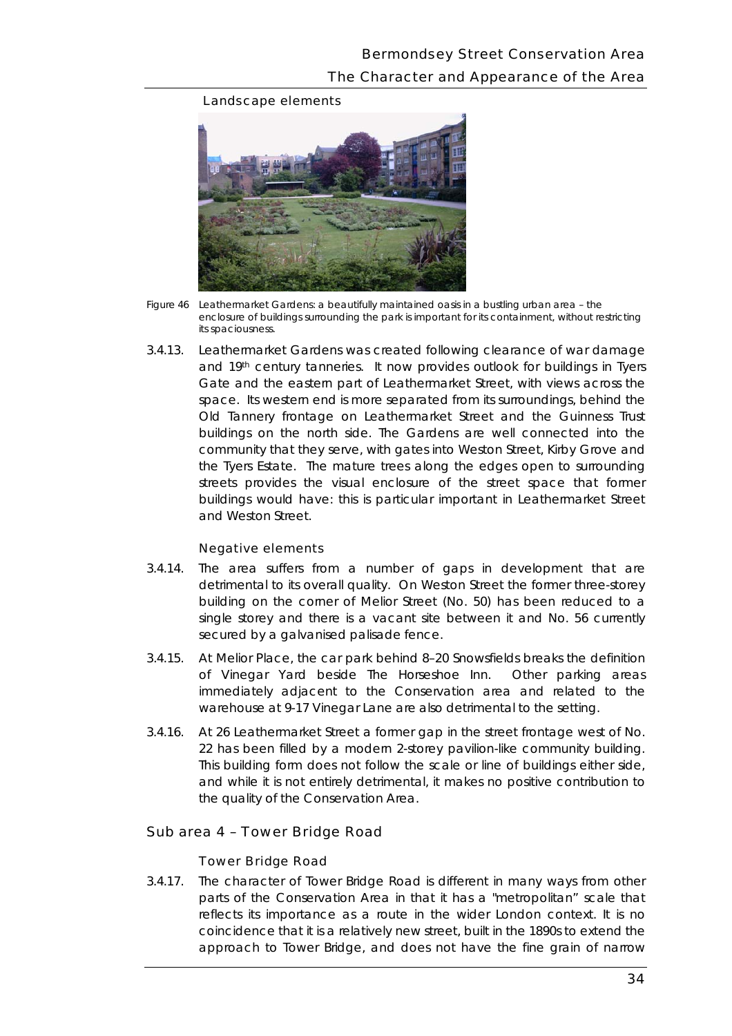### Landscape elements



*Figure 46 Leathermarket Gardens: a beautifully maintained oasis in a bustling urban area – the enclosure of buildings surrounding the park is important for its containment, without restricting its spaciousness.* 

 the Tyers Estate. The mature trees along the edges open to surrounding streets provides the visual enclosure of the street space that former 3.4.13. Leathermarket Gardens was created following clearance of war damage and 19th century tanneries. It now provides outlook for buildings in Tyers Gate and the eastern part of Leathermarket Street, with views across the space. Its western end is more separated from its surroundings, behind the Old Tannery frontage on Leathermarket Street and the Guinness Trust buildings on the north side. The Gardens are well connected into the community that they serve, with gates into Weston Street, Kirby Grove and buildings would have: this is particular important in Leathermarket Street and Weston Street.

#### Negative elements

- 3.4.14. The area suffers from a number of gaps in development that are building on the corner of Melior Street (No. 50) has been reduced to a secured by a galvanised palisade fence. detrimental to its overall quality. On Weston Street the former three-storey single storey and there is a vacant site between it and No. 56 currently
- warehouse at 9-17 Vinegar Lane are also detrimental to the setting. 3.4.15. At Melior Place, the car park behind 8–20 Snowsfields breaks the definition of Vinegar Yard beside The Horseshoe Inn. Other parking areas immediately adjacent to the Conservation area and related to the
- 3.4.16. At 26 Leathermarket Street a former gap in the street frontage west of No. 22 has been filled by a modern 2-storey pavilion-like community building. This building form does not follow the scale or line of buildings either side, and while it is not entirely detrimental, it makes no positive contribution to the quality of the Conservation Area.

### Sub area 4 – Tower Bridge Road

### Tower Bridge Road

 reflects its importance as a route in the wider London context. It is no 3.4.17. The character of Tower Bridge Road is different in many ways from other parts of the Conservation Area in that it has a "metropolitan" scale that coincidence that it is a relatively new street, built in the 1890s to extend the approach to Tower Bridge, and does not have the fine grain of narrow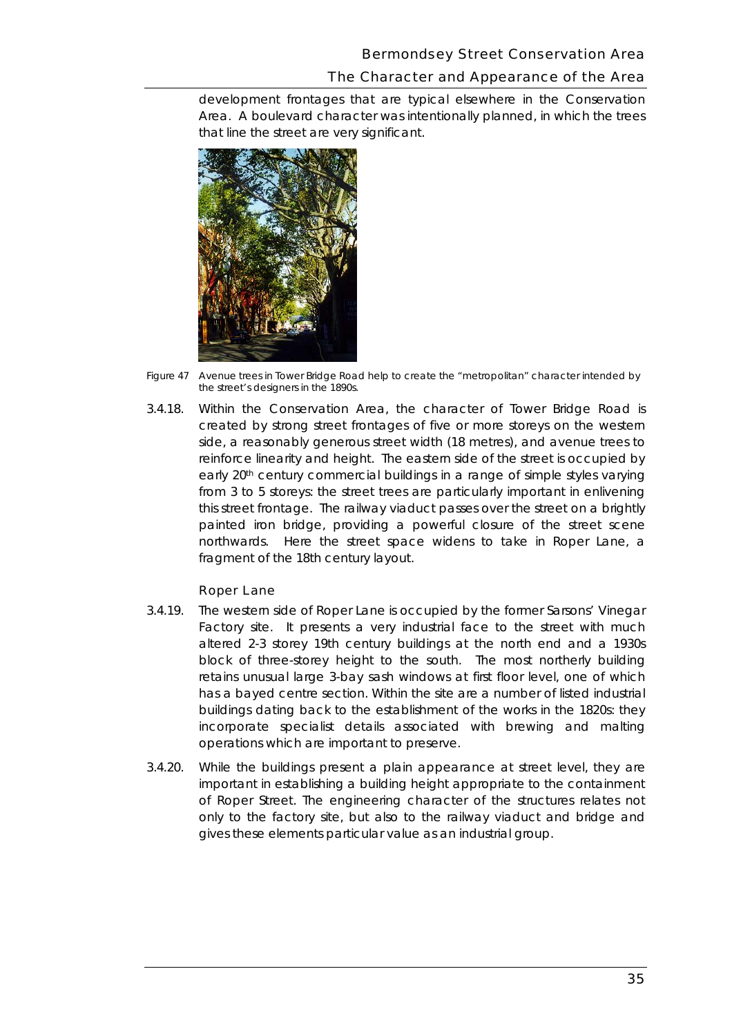### Bermondsey Street Conservation Area

## The Character and Appearance of the Area

 Area. A boulevard character was intentionally planned, in which the trees development frontages that are typical elsewhere in the Conservation that line the street are very significant.



*Figure 47 Avenue trees in Tower Bridge Road help to create the "metropolitan" character intended by the street's designers in the 1890s.* 

 side, a reasonably generous street width (18 metres), and avenue trees to from 3 to 5 storeys: the street trees are particularly important in enlivening painted iron bridge, providing a powerful closure of the street scene northwards. Here the street space widens to take in Roper Lane, a 3.4.18. Within the Conservation Area, the character of Tower Bridge Road is created by strong street frontages of five or more storeys on the western reinforce linearity and height. The eastern side of the street is occupied by early 20th century commercial buildings in a range of simple styles varying this street frontage. The railway viaduct passes over the street on a brightly fragment of the 18th century layout.

### Roper Lane

- 3.4.19. The western side of Roper Lane is occupied by the former Sarsons' Vinegar Factory site. It presents a very industrial face to the street with much retains unusual large 3-bay sash windows at first floor level, one of which has a bayed centre section. Within the site are a number of listed industrial altered 2-3 storey 19th century buildings at the north end and a 1930s block of three-storey height to the south. The most northerly building buildings dating back to the establishment of the works in the 1820s: they incorporate specialist details associated with brewing and malting operations which are important to preserve.
- important in establishing a building height appropriate to the containment only to the factory site, but also to the railway viaduct and bridge and gives these elements particular value as an industrial group. 3.4.20. While the buildings present a plain appearance at street level, they are of Roper Street. The engineering character of the structures relates not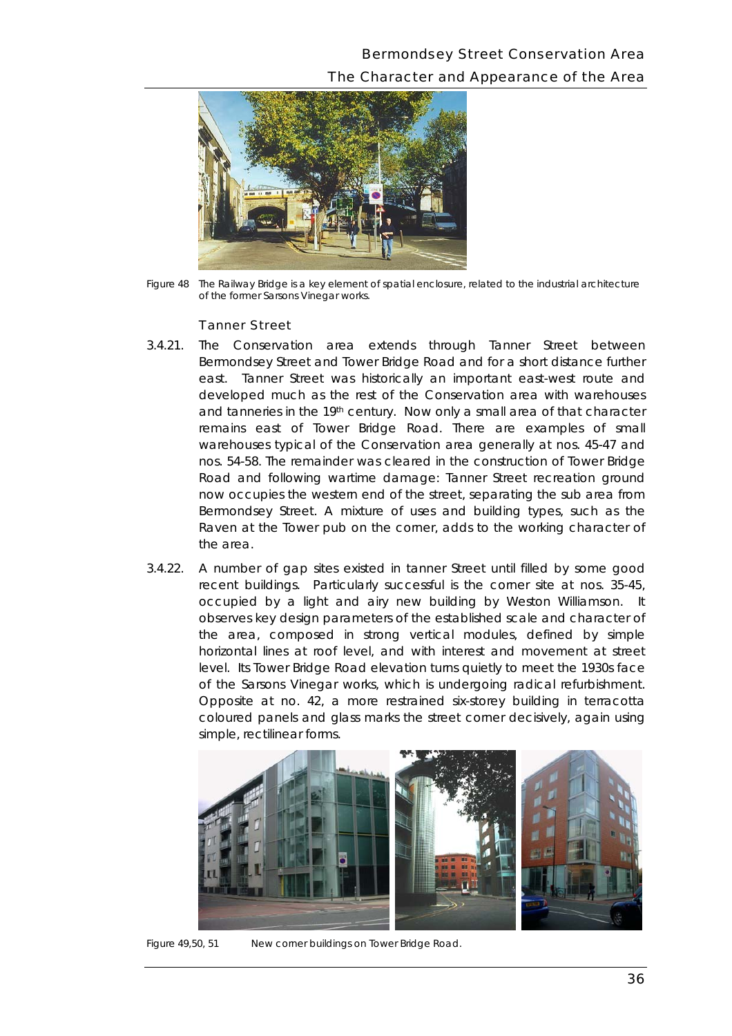# Bermondsey Street Conservation Area The Character and Appearance of the Area



*Figure 48 The Railway Bridge is a key element of spatial enclosure, related to the industrial architecture of the former Sarsons Vinegar works.* 

#### Tanner Street

- and tanneries in the 19<sup>th</sup> century. Now only a small area of that character the area. 3.4.21. The Conservation area extends through Tanner Street between Bermondsey Street and Tower Bridge Road and for a short distance further east. Tanner Street was historically an important east-west route and developed much as the rest of the Conservation area with warehouses remains east of Tower Bridge Road. There are examples of small warehouses typical of the Conservation area generally at nos. 45-47 and nos. 54-58. The remainder was cleared in the construction of Tower Bridge Road and following wartime damage: Tanner Street recreation ground now occupies the western end of the street, separating the sub area from Bermondsey Street. A mixture of uses and building types, such as the Raven at the Tower pub on the corner, adds to the working character of
- occupied by a light and airy new building by Weston Williamson. It 3.4.22. A number of gap sites existed in tanner Street until filled by some good recent buildings. Particularly successful is the corner site at nos. 35-45, observes key design parameters of the established scale and character of the area, composed in strong vertical modules, defined by simple horizontal lines at roof level, and with interest and movement at street level. Its Tower Bridge Road elevation turns quietly to meet the 1930s face of the Sarsons Vinegar works, which is undergoing radical refurbishment. Opposite at no. 42, a more restrained six-storey building in terracotta coloured panels and glass marks the street corner decisively, again using simple, rectilinear forms.



*Figure 49,50, 51 New corner buildings on Tower Bridge Road.*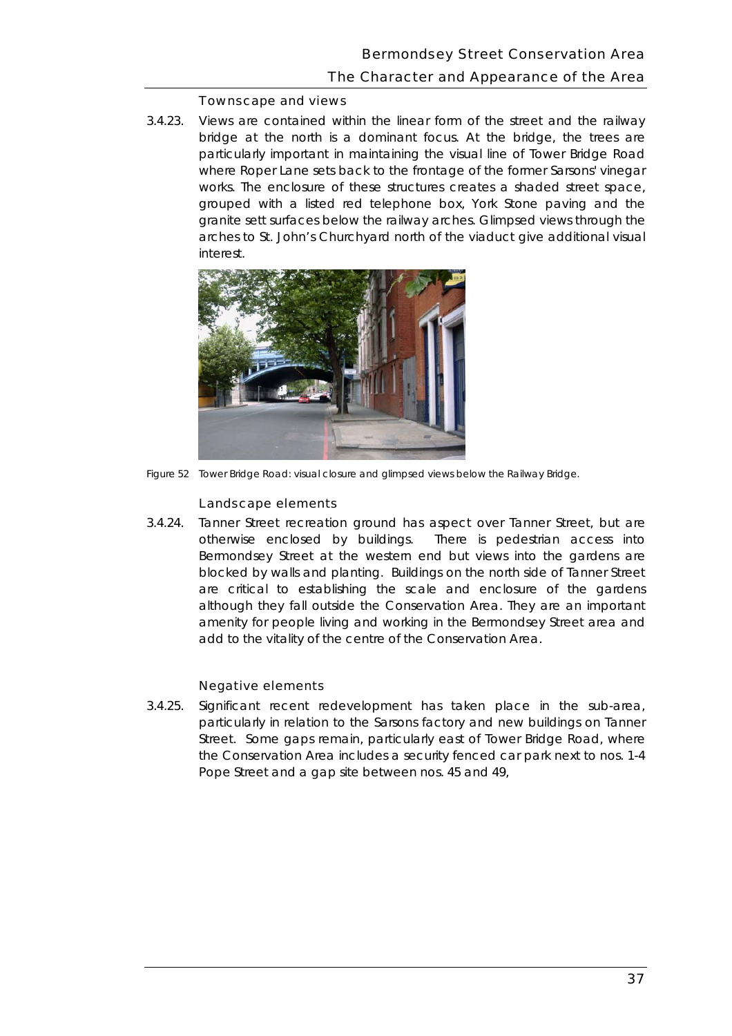## The Character and Appearance of the Area

#### Townscape and views

 bridge at the north is a dominant focus. At the bridge, the trees are grouped with a listed red telephone box, York Stone paving and the arches to St. John's Churchyard north of the viaduct give additional visual 3.4.23. Views are contained within the linear form of the street and the railway particularly important in maintaining the visual line of Tower Bridge Road where Roper Lane sets back to the frontage of the former Sarsons' vinegar works. The enclosure of these structures creates a shaded street space, granite sett surfaces below the railway arches. Glimpsed views through the interest.



*Figure 52 Tower Bridge Road: visual closure and glimpsed views below the Railway Bridge.* 

### Landscape elements

 Bermondsey Street at the western end but views into the gardens are add to the vitality of the centre of the Conservation Area. 3.4.24. Tanner Street recreation ground has aspect over Tanner Street, but are otherwise enclosed by buildings. There is pedestrian access into blocked by walls and planting. Buildings on the north side of Tanner Street are critical to establishing the scale and enclosure of the gardens although they fall outside the Conservation Area. They are an important amenity for people living and working in the Bermondsey Street area and

### Negative elements

 particularly in relation to the Sarsons factory and new buildings on Tanner the Conservation Area includes a security fenced car park next to nos. 1-4 Pope Street and a gap site between nos. 45 and 49, 3.4.25. Significant recent redevelopment has taken place in the sub-area, Street. Some gaps remain, particularly east of Tower Bridge Road, where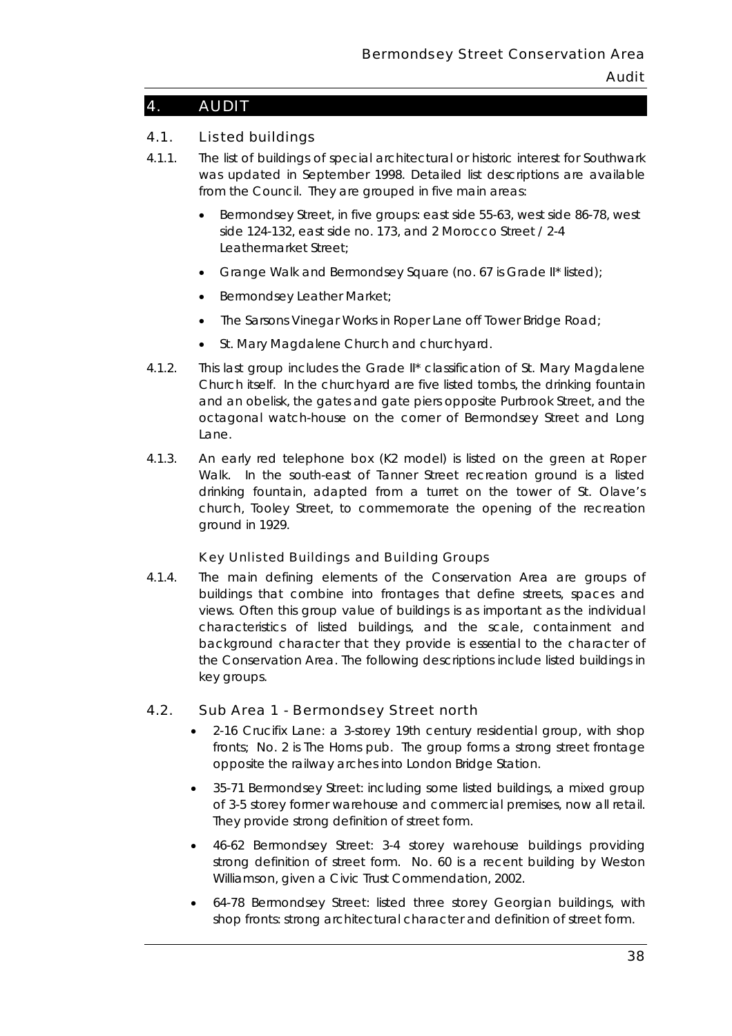# 4. AUDIT

# 4.1. Listed buildings

- 4.1.1. The list of buildings of special architectural or historic interest for Southwark was updated in September 1998. Detailed list descriptions are available from the Council. They are grouped in five main areas:
	- Bermondsey Street, in five groups: east side 55-63, west side 86-78, west side 124-132, east side no. 173, and 2 Morocco Street / 2-4 Leathermarket Street;
	- Grange Walk and Bermondsey Square (no. 67 is Grade II\* listed);
	- Bermondsey Leather Market;
	- The Sarsons Vinegar Works in Roper Lane off Tower Bridge Road;
	- St. Mary Magdalene Church and churchyard.
- Lane. 4.1.2. This last group includes the Grade II\* classification of St. Mary Magdalene Church itself. In the churchyard are five listed tombs, the drinking fountain and an obelisk, the gates and gate piers opposite Purbrook Street, and the octagonal watch-house on the corner of Bermondsey Street and Long
- 4.1.3. An early red telephone box (K2 model) is listed on the green at Roper Walk. In the south-east of Tanner Street recreation ground is a listed drinking fountain, adapted from a turret on the tower of St. Olave's church, Tooley Street, to commemorate the opening of the recreation ground in 1929.

## Key Unlisted Buildings and Building Groups

 background character that they provide is essential to the character of 4.1.4. The main defining elements of the Conservation Area are groups of buildings that combine into frontages that define streets, spaces and views. Often this group value of buildings is as important as the individual characteristics of listed buildings, and the scale, containment and the Conservation Area. The following descriptions include listed buildings in key groups.

## 4.2. Sub Area 1 - Bermondsey Street north

- *2-16 Crucifix Lane*: a 3-storey 19th century residential group, with shop fronts; No. 2 is The Horns pub. The group forms a strong street frontage opposite the railway arches into London Bridge Station.
- of 3-5 storey former warehouse and commercial premises, now all retail.<br>They provide strong definition of street form. • *35-71 Bermondsey Street*: including some listed buildings, a mixed group
- Williamson, given a Civic Trust Commendation, 2002. • *46-62 Bermondsey Street*: 3-4 storey warehouse buildings providing strong definition of street form. No. 60 is a recent building by Weston
- • *64-78 Bermondsey Street*: listed three storey Georgian buildings, with shop fronts: strong architectural character and definition of street form.